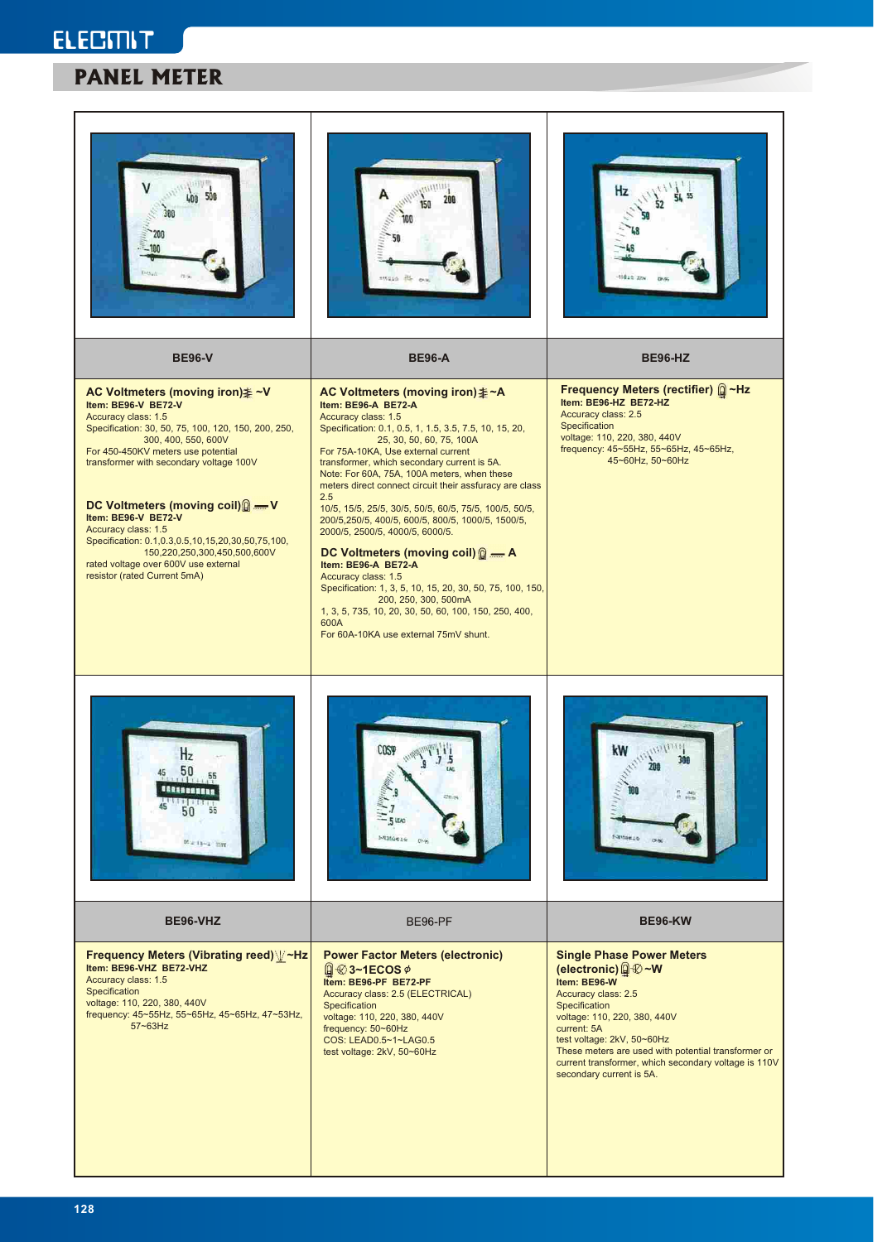# **ELECMIT PANEL METER**

|                                                                                                                                                                                                                                                                                                                                                                                                                                                                                           | struzio 215                                                                                                                                                                                                                                                                                                                                                                                                                                                                                                                                                                                                                                                                                                                                                                                                                        | 10024 ZZW                                                                                                                                                                                                                                                                                                                              |
|-------------------------------------------------------------------------------------------------------------------------------------------------------------------------------------------------------------------------------------------------------------------------------------------------------------------------------------------------------------------------------------------------------------------------------------------------------------------------------------------|------------------------------------------------------------------------------------------------------------------------------------------------------------------------------------------------------------------------------------------------------------------------------------------------------------------------------------------------------------------------------------------------------------------------------------------------------------------------------------------------------------------------------------------------------------------------------------------------------------------------------------------------------------------------------------------------------------------------------------------------------------------------------------------------------------------------------------|----------------------------------------------------------------------------------------------------------------------------------------------------------------------------------------------------------------------------------------------------------------------------------------------------------------------------------------|
| <b>BE96-V</b>                                                                                                                                                                                                                                                                                                                                                                                                                                                                             | <b>BE96-A</b>                                                                                                                                                                                                                                                                                                                                                                                                                                                                                                                                                                                                                                                                                                                                                                                                                      | <b>BE96-HZ</b>                                                                                                                                                                                                                                                                                                                         |
| AC Voltmeters (moving iron) ≱~V<br>Item: BE96-V BE72-V<br>Accuracy class: 1.5<br>Specification: 30, 50, 75, 100, 120, 150, 200, 250,<br>300, 400, 550, 600V<br>For 450-450KV meters use potential<br>transformer with secondary voltage 100V<br>DC Voltmeters (moving coil) -V<br>Item: BE96-V BE72-V<br>Accuracy class: 1.5<br>Specification: 0.1,0.3,0.5,10,15,20,30,50,75,100,<br>150,220,250,300,450,500,600V<br>rated voltage over 600V use external<br>resistor (rated Current 5mA) | AC Voltmeters (moving iron) $\ddagger$ ~A<br>Item: BE96-A BE72-A<br>Accuracy class: 1.5<br>Specification: 0.1, 0.5, 1, 1.5, 3.5, 7.5, 10, 15, 20,<br>25, 30, 50, 60, 75, 100A<br>For 75A-10KA, Use external current<br>transformer, which secondary current is 5A.<br>Note: For 60A, 75A, 100A meters, when these<br>meters direct connect circuit their assfuracy are class<br>2.5<br>10/5, 15/5, 25/5, 30/5, 50/5, 60/5, 75/5, 100/5, 50/5,<br>200/5,250/5, 400/5, 600/5, 800/5, 1000/5, 1500/5,<br>2000/5, 2500/5, 4000/5, 6000/5.<br>DC Voltmeters (moving coil) $\mathbb{Q}$ = A<br>Item: BE96-A BE72-A<br>Accuracy class: 1.5<br>Specification: 1, 3, 5, 10, 15, 20, 30, 50, 75, 100, 150,<br>200, 250, 300, 500mA<br>1, 3, 5, 735, 10, 20, 30, 50, 60, 100, 150, 250, 400,<br>600A<br>For 60A-10KA use external 75mV shunt. | Frequency Meters (rectifier) <sup>2</sup> Hz<br>Item: BE96-HZ BE72-HZ<br>Accuracy class: 2.5<br>Specification<br>voltage: 110, 220, 380, 440V<br>frequency: 45~55Hz, 55~65Hz, 45~65Hz,<br>45~60Hz, 50~60Hz                                                                                                                             |
| $\overline{112}$<br>50<br><b>BERREESERE</b><br>55<br>Will 15-1 177                                                                                                                                                                                                                                                                                                                                                                                                                        | <b>COST</b><br>$7\frac{5}{16}$<br>$2\pi$ es<br><b>NEWSHIP</b><br><b>Divis</b>                                                                                                                                                                                                                                                                                                                                                                                                                                                                                                                                                                                                                                                                                                                                                      | $m_{PUL}$<br>kW<br>300<br>20<br><b>Simons</b>                                                                                                                                                                                                                                                                                          |
| BE96-VHZ                                                                                                                                                                                                                                                                                                                                                                                                                                                                                  | BE96-PF                                                                                                                                                                                                                                                                                                                                                                                                                                                                                                                                                                                                                                                                                                                                                                                                                            | <b>BE96-KW</b>                                                                                                                                                                                                                                                                                                                         |
| Frequency Meters (Vibrating reed) V-Hz<br>Item: BE96-VHZ BE72-VHZ<br>Accuracy class: 1.5<br>Specification<br>voltage: 110, 220, 380, 440V<br>frequency: 45~55Hz, 55~65Hz, 45~65Hz, 47~53Hz,<br>$57 - 63$ Hz                                                                                                                                                                                                                                                                               | <b>Power Factor Meters (electronic)</b><br>$\left[ \right] \circledast$ 3~1ECOS $\phi$<br>Item: BE96-PF BE72-PF<br>Accuracy class: 2.5 (ELECTRICAL)<br>Specification<br>voltage: 110, 220, 380, 440V<br>frequency: 50~60Hz<br>COS: LEAD0.5~1~LAG0.5<br>test voltage: 2kV, 50~60Hz                                                                                                                                                                                                                                                                                                                                                                                                                                                                                                                                                  | <b>Single Phase Power Meters</b><br>(electronic) @ ~ W<br>Item: BE96-W<br>Accuracy class: 2.5<br>Specification<br>voltage: 110, 220, 380, 440V<br>current: 5A<br>test voltage: 2kV, 50~60Hz<br>These meters are used with potential transformer or<br>current transformer, which secondary voltage is 110V<br>secondary current is 5A. |

L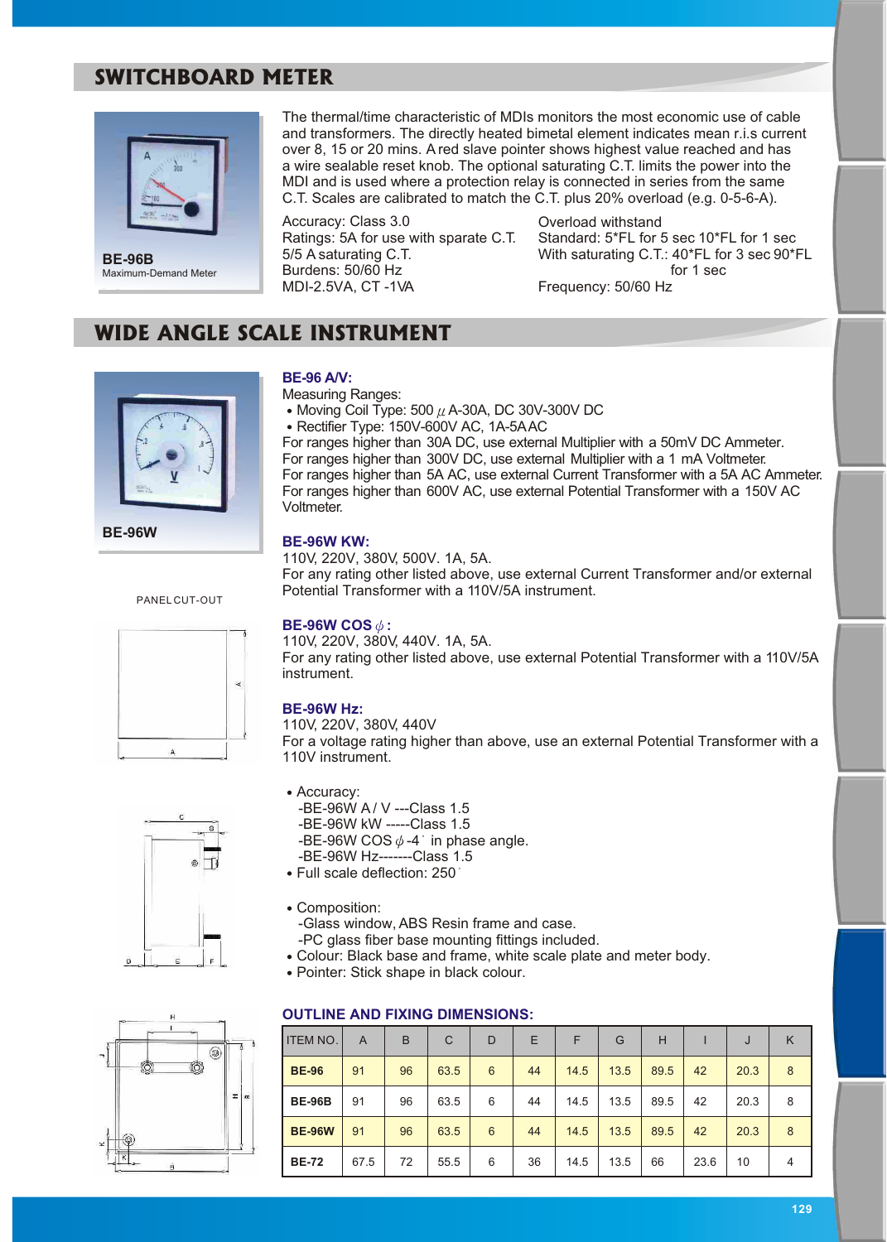## **SWITCHBOARD METER**



**BE-96B** Maximum-Demand Meter

The thermal/time characteristic of MDIs monitors the most economic use of cable and transformers. The directly heated bimetal element indicates mean r.i.s current over 8, 15 or 20 mins. A red slave pointer shows highest value reached and has a wire sealable reset knob. The optional saturating C.T. limits the power into the MDI and is used where a protection relay is connected in series from the same C.T. Scales are calibrated to match the C.T. plus 20% overload (e.g. 0-5-6-A).

Accuracy: Class 3.0 Ratings: 5A for use with sparate C.T. 5/5 A saturating C.T. Burdens: 50/60 Hz MDI-2.5VA, CT -1VA

Overload withstand Standard: 5\*FL for 5 sec 10\*FL for 1 sec With saturating C.T.: 40\*FL for 3 sec 90\*FL for 1 sec Frequency: 50/60 Hz

## **WIDE ANGLE SCALE INSTRUMENT**



**BE-96W**

#### PANEL CUT-OUT







#### **BE-96 A/V:**

Measuring Ranges:

- Moving Coil Type: 500  $\mu$  A-30A, DC 30V-300V DC
- Rectifier Type: 150V-600V AC, 1A-5A AC

For ranges higher than 30A DC, use external Multiplier with a 50mV DC Ammeter. For ranges higher than 300V DC, use external Multiplier with a 1 mA Voltmeter. For ranges higher than 5A AC, use external Current Transformer with a 5A AC Ammeter. For ranges higher than 600V AC, use external Potential Transformer with a 150V AC Voltmeter.

#### **BE-96W KW:**

110V, 220V, 380V, 500V. 1A, 5A. For any rating other listed above, use external Current Transformer and/or external Potential Transformer with a 110V/5A instrument.

#### **BE-96W COS**  $\phi$ **:**

110V, 220V, 380V, 440V. 1A, 5A. For any rating other listed above, use external Potential Transformer with a 110V/5A instrument.

#### **BE-96W Hz:**

110V, 220V, 380V, 440V

For a voltage rating higher than above, use an external Potential Transformer with a 110V instrument.

- Accuracy:
	- -BE-96W A / V ---Class 1.5 -BE-96W kW -----Class 1.5 -BE-96W COS  $\phi$ -4 in phase angle.
- -BE-96W Hz-------Class 1.5
- Full scale deflection: 250
- Composition:
	- -Glass window, ABS Resin frame and case.
	- -PC glass fiber base mounting fittings included.
- Colour: Black base and frame, white scale plate and meter body.
- Pointer: Stick shape in black colour.

#### **OUTLINE AND FIXING DIMENSIONS:**

| <b>ITEM NO.</b> | A    | B  | C    | D | Ε  | F    | G    | Н    |      | J    | Κ |
|-----------------|------|----|------|---|----|------|------|------|------|------|---|
| <b>BE-96</b>    | 91   | 96 | 63.5 | 6 | 44 | 14.5 | 13.5 | 89.5 | 42   | 20.3 | 8 |
| <b>BE-96B</b>   | 91   | 96 | 63.5 | 6 | 44 | 14.5 | 13.5 | 89.5 | 42   | 20.3 | 8 |
| <b>BE-96W</b>   | 91   | 96 | 63.5 | 6 | 44 | 14.5 | 13.5 | 89.5 | 42   | 20.3 | 8 |
| <b>BE-72</b>    | 67.5 | 72 | 55.5 | 6 | 36 | 14.5 | 13.5 | 66   | 23.6 | 10   | 4 |

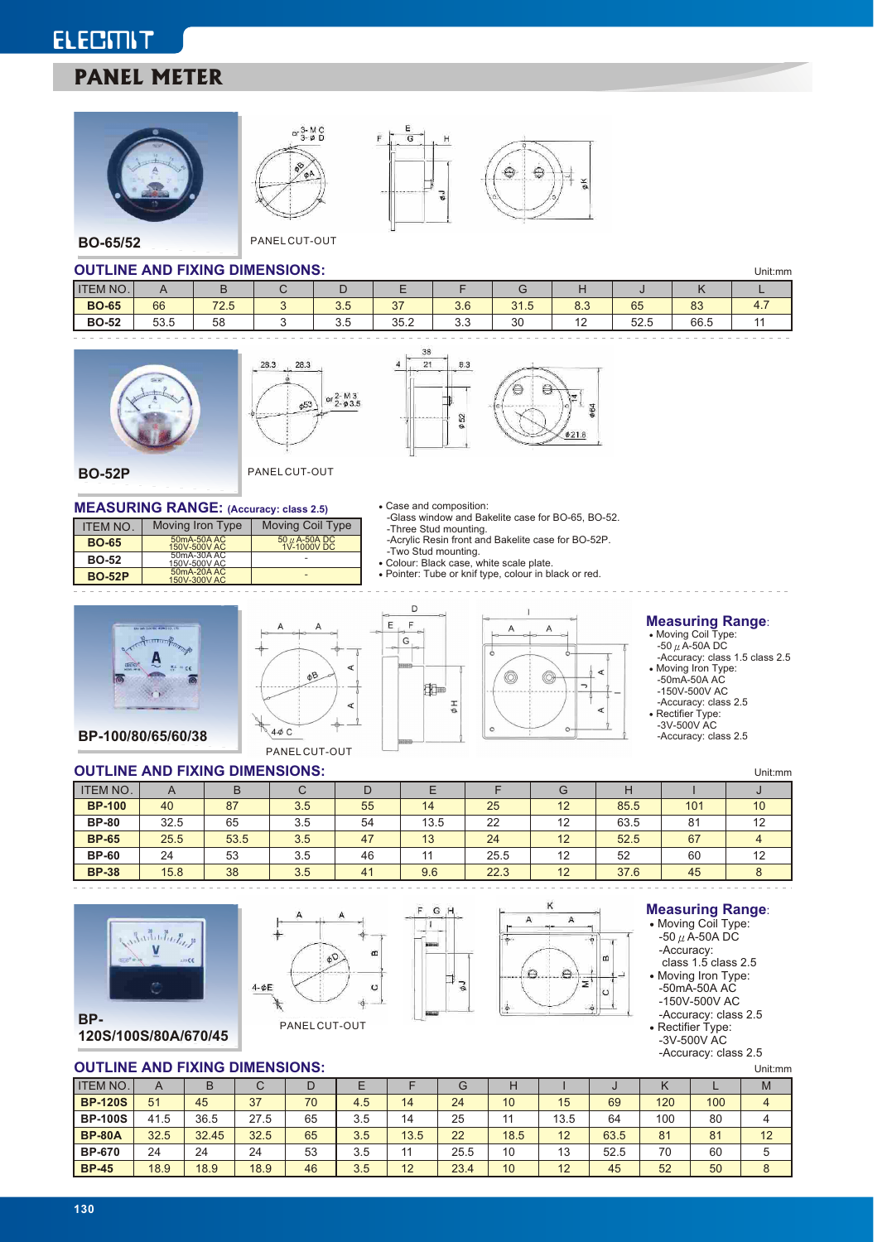# **ELECMIT PANEL METER**





**BO-65/52** PANEL CUT-OUT

#### **OUTLINE AND FIXING DIMENSIONS:**  $\frac{1}{100}$

|                 | <b>UU LINE AND FIAING DIMENSIONS.</b><br>Unit:mm |      |  |     |               |     |      |                 |            |      |      |
|-----------------|--------------------------------------------------|------|--|-----|---------------|-----|------|-----------------|------------|------|------|
| <b>ITEM NO.</b> |                                                  |      |  |     |               |     |      |                 |            |      |      |
| <b>BO-65</b>    | 66                                               | 72.5 |  | ວ.ວ | $\sim$<br>◡ ៸ | 3.6 | 31.5 | $\Omega$<br>0.0 | 65         | 83   | т. 1 |
| <b>BO-52</b>    | EO E<br>53.5                                     | 58   |  | J.J | 35.2          | ບ.ບ | 30   | . .             | につ<br>ບ∠.ບ | 66.5 |      |

4



ITEM NO. | Moving Iron Type

50mA-50A AC 150V-500V AC 50mA-30A AC 150V-500V AC 50mA-20A AC 150V-300V AC





š

**BO-65 BO-52 BO-52P**

**BO-52P** PANEL CUT-OUT

50 µ A-50A DC<br>1V-1000V DC - -

Moving Coil Type

#### **MEASURING RANGE:** (Accuracy: class 2.5) Case and composition:

 $\mathsf F$ 

 $\mathsf G$ 

- -Glass window and Bakelite case for BO-65, BO-52. -Three Stud mounting. -Acrylic Resin front and Bakelite case for BO-52P.
- -Two Stud mounting. Colour: Black case, white scale plate.
	-
- Pointer: Tube or knif type, colour in black or red.









 $\overline{\phantom{a}}$ 

∢

### **Measuring Range**:

-Accuracy: class 1.5 class 2.5

Moving Iron Type: -50mA-50A AC -150V-500V AC -Accuracy: class 2.5

Rectifier Type: -3V-500V AC -Accuracy: class 2.5

#### **OUTLINE AND FIXING DIMENSIONS:** Unit:mm ITEM NO. | A | B | C | D | E | F | G | H | I **BP-100 BP-80 BP-65 BP-60 BP-38** 40 32.5 25.5 24 15.8 87 65 53.5 53 38 3.5 3.5  $3.5$ 3.5 3.5 55 54 47 46 41 14 13.5 13 11 9.6 25 22 24 25.5 22.3 12 12  $\overline{12}$ 12 12 85.5 63.5 52.5 52 37.6 101 81 67 60 45 10 12 4 12 8 J

G

 $\vec{v}$ 



**120S/100S/80A/670/45**

 $\vert$  1  $\omega$  $\phi^{\text{C}}$  $\circ$  $4- $\Phi$ E$  $\frac{1}{2}$ 





#### **Measuring Range**:

• Moving Coil Type:  $-50 \mu \overline{A} - 50 A \overline{D}C$ -Accuracy:

class 1.5 class 2.5

- Moving Iron Type:
- -50mA-50A AC -150V-500V AC
- -Accuracy: class 2.5
- Rectifier Type: -3V-500V AC

-Accuracy: class 2.5

| . . <b>. .</b> ,<br><b>OUTLINE AND FIXING DIMENSIONS:</b> |              |       |      |    |     |      |      |                 |      | Unit:mm |     |     |                |
|-----------------------------------------------------------|--------------|-------|------|----|-----|------|------|-----------------|------|---------|-----|-----|----------------|
| <b>ITEM NO.</b>                                           | $\mathsf{A}$ | B     | С    | D  |     |      | G    | Н               |      | u       | ĸ   |     | M              |
| <b>BP-120S</b>                                            | 51           | 45    | 37   | 70 | 4.5 | 14   | 24   | 10 <sup>°</sup> | 15   | 69      | 120 | 100 | $\overline{4}$ |
| <b>BP-100S</b>                                            | 41.5         | 36.5  | 27.5 | 65 | 3.5 | 14   | 25   | 11              | 13.5 | 64      | 100 | 80  | 4              |
| <b>BP-80A</b>                                             | 32.5         | 32.45 | 32.5 | 65 | 3.5 | 13.5 | 22   | 18.5            | 12   | 63.5    | 81  | 81  | 12             |
| <b>BP-670</b>                                             | 24           | 24    | 24   | 53 | 3.5 | 11   | 25.5 | 10              | 13   | 52.5    | 70  | 60  | 5              |
| <b>BP-45</b>                                              | 18.9         | 18.9  | 18.9 | 46 | 3.5 | 12   | 23.4 | 10              | 12   | 45      | 52  | 50  | 8              |

**BP-**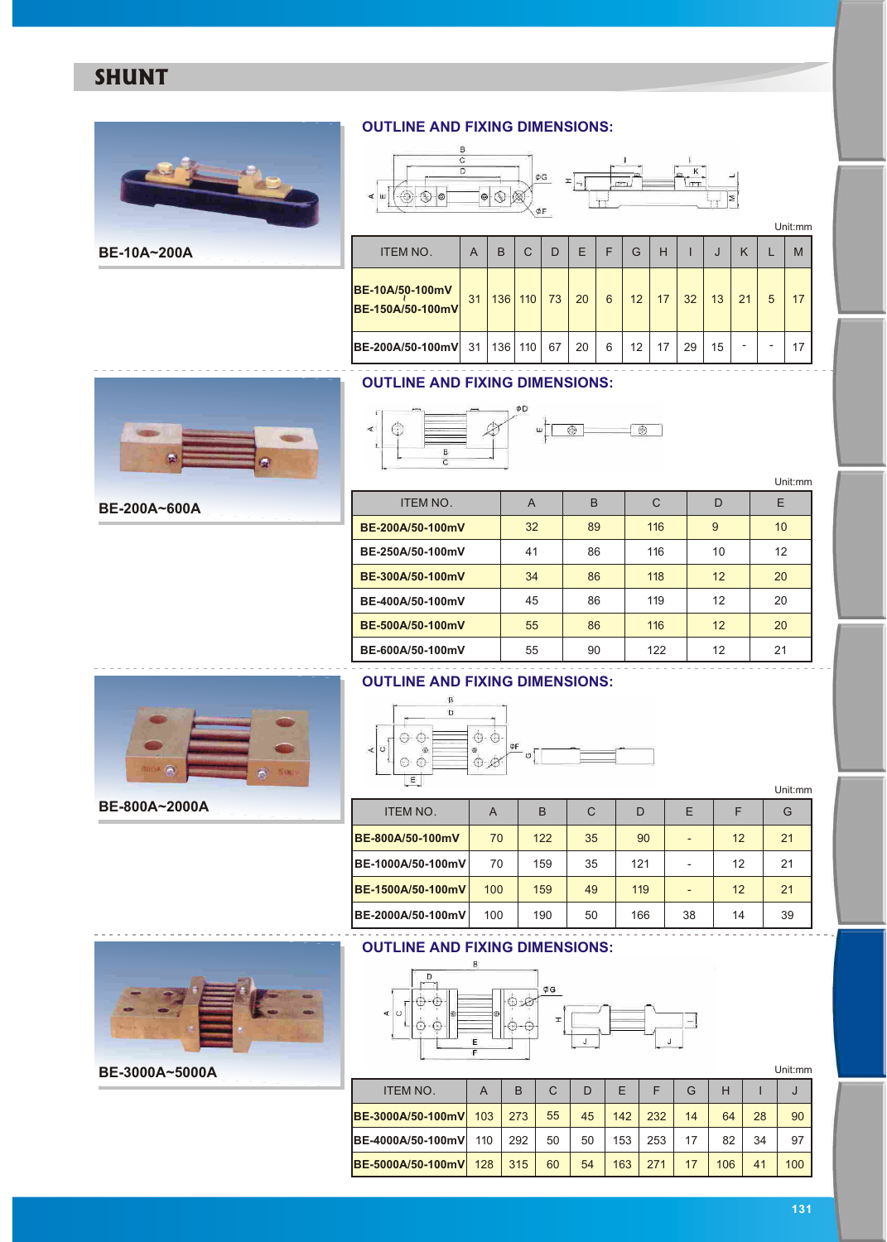## **SHUNT**



**BE-10A~200A**

#### **OUTLINE AND FIXING DIMENSIONS:**



|                                     |    |     |     |    |    |   |    |    |    |    |    |   | Unit:mm |
|-------------------------------------|----|-----|-----|----|----|---|----|----|----|----|----|---|---------|
| <b>ITEM NO.</b>                     | A  | B   | C   | D  | E  | F | G  | Н  |    | J  | K  |   | M       |
| BE-10A/50-100mV<br>BE-150A/50-100mV | 31 | 136 | 110 | 73 | 20 | 6 | 12 | 17 | 32 | 13 | 21 | 5 | 17      |
| BE-200A/50-100mV                    | 31 | 136 | 110 | 67 | 20 | 6 | 12 | 17 | 29 | 15 | -  |   | 17      |

### **OUTLINE AND FIXING DIMENSIONS:**

**BE-400A/50-100mV BE-500A/50-100mV BE-600A/50-100mV**



**BE-200A~600A**

| etter.<br>e diam<br>¥<br>$\prec$<br>⊙<br>₿<br>Ċ | ΦD<br>ш | $\odot$ | ⊛   |    | Unit:mm |
|-------------------------------------------------|---------|---------|-----|----|---------|
| <b>ITEM NO.</b>                                 | A       | B       | C   | D  | E       |
| BE-200A/50-100mV                                | 32      | 89      | 116 | 9  | 10      |
| BE-250A/50-100mV                                | 41      | 86      | 116 | 10 | 12      |
| BE-300A/50-100mV                                | 34      | 86      | 118 | 12 | 20      |

     

 

 



**BE-800A~2000A**

**BE-3000A~5000A**

|  | m |               |  |
|--|---|---------------|--|
|  |   | $\Omega$<br>× |  |

**OUTLINE AND FIXING DIMENSIONS:** 

ITEM NO . A B C D E - - - **BE-800A/50-100mV BE-1000A/50-100mV BE-1500A/50-100mV BE-2000A/50-100mV** Unit:mm  $F \mid G$  

#### **OUTLINE AND FIXING DIMENSIONS:**



A | B | C | D | E | F | G ITEM NO.  $A \mid B \mid C \mid D \mid E \mid F \mid G \mid H \mid I$ **BE-3000A/50-100mV BE-4000A/50-100mV BE-5000A/50-100mV**

 $\varphi$ G